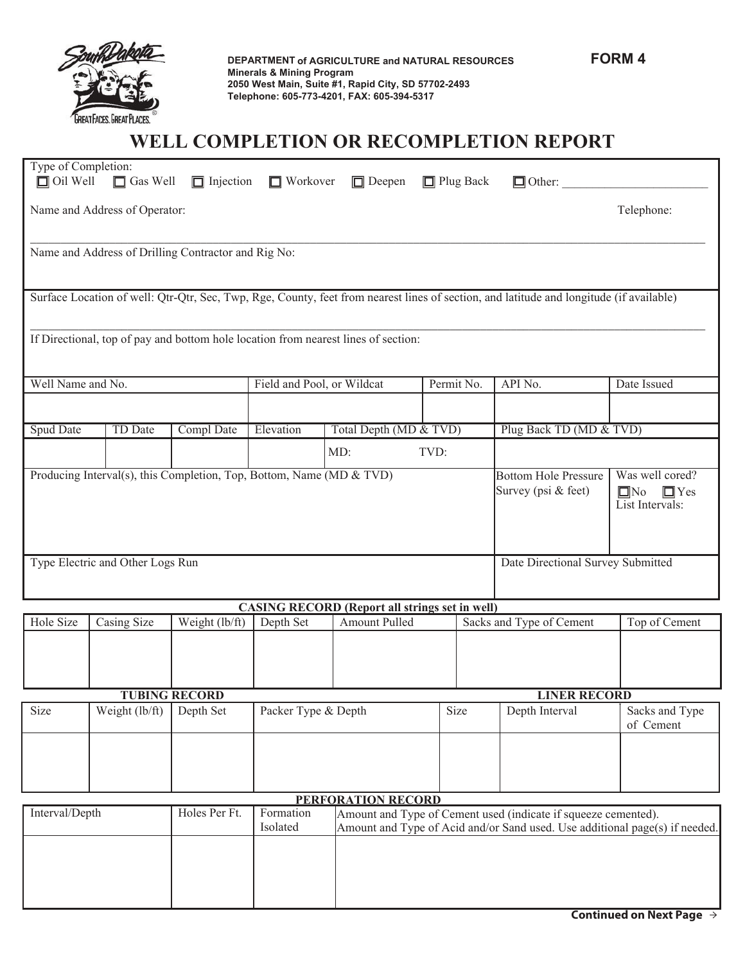

**DEPARTMENT** of AGRICULTURE and NATURAL RESOURCES FORM 4 **Minerals & Mining Program 2050 West Main, Suite #1, Rapid City, SD 57702-2493 Telephone: 605-773-4201, FAX: 605-394-5317** 

## **WELL COMPLETION OR RECOMPLETION REPORT**

| Type of Completion:<br>$\Box$ Oil Well                                                                                                     | $\Box$ Gas Well | $\Box$ Injection     | $\Box$ Workover            | $\Box$ Deepen                                         |                                                                                                                                                                     | $\Box$ Plug Back | $\Box$ Other:                                    |                             |  |  |
|--------------------------------------------------------------------------------------------------------------------------------------------|-----------------|----------------------|----------------------------|-------------------------------------------------------|---------------------------------------------------------------------------------------------------------------------------------------------------------------------|------------------|--------------------------------------------------|-----------------------------|--|--|
| Name and Address of Operator:<br>Telephone:                                                                                                |                 |                      |                            |                                                       |                                                                                                                                                                     |                  |                                                  |                             |  |  |
| Name and Address of Drilling Contractor and Rig No:                                                                                        |                 |                      |                            |                                                       |                                                                                                                                                                     |                  |                                                  |                             |  |  |
| Surface Location of well: Qtr-Qtr, Sec, Twp, Rge, County, feet from nearest lines of section, and latitude and longitude (if available)    |                 |                      |                            |                                                       |                                                                                                                                                                     |                  |                                                  |                             |  |  |
| If Directional, top of pay and bottom hole location from nearest lines of section:                                                         |                 |                      |                            |                                                       |                                                                                                                                                                     |                  |                                                  |                             |  |  |
| Well Name and No.                                                                                                                          |                 |                      | Field and Pool, or Wildcat |                                                       |                                                                                                                                                                     | Permit No.       | API No.                                          | Date Issued                 |  |  |
|                                                                                                                                            |                 |                      |                            |                                                       |                                                                                                                                                                     |                  |                                                  |                             |  |  |
| <b>Spud Date</b>                                                                                                                           | TD Date         | Compl Date           | Elevation                  | Total Depth (MD & TVD)                                |                                                                                                                                                                     |                  | Plug Back TD (MD & TVD)                          |                             |  |  |
|                                                                                                                                            |                 |                      |                            | MD:                                                   | TVD:                                                                                                                                                                |                  |                                                  |                             |  |  |
| Producing Interval(s), this Completion, Top, Bottom, Name (MD & TVD)<br><b>Bottom Hole Pressure</b><br>Survey (psi & feet)<br>$\square$ No |                 |                      |                            |                                                       |                                                                                                                                                                     |                  | Was well cored?<br>$\Box$ Yes<br>List Intervals: |                             |  |  |
| Type Electric and Other Logs Run                                                                                                           |                 |                      |                            |                                                       | Date Directional Survey Submitted                                                                                                                                   |                  |                                                  |                             |  |  |
|                                                                                                                                            |                 |                      |                            | <b>CASING RECORD (Report all strings set in well)</b> |                                                                                                                                                                     |                  |                                                  |                             |  |  |
| Hole Size                                                                                                                                  | Casing Size     | Weight (lb/ft)       | Depth Set                  | Amount Pulled                                         |                                                                                                                                                                     |                  | Sacks and Type of Cement                         | Top of Cement               |  |  |
|                                                                                                                                            |                 |                      |                            |                                                       |                                                                                                                                                                     |                  |                                                  |                             |  |  |
|                                                                                                                                            |                 | <b>TUBING RECORD</b> |                            |                                                       |                                                                                                                                                                     |                  | <b>LINER RECORD</b>                              |                             |  |  |
| Size                                                                                                                                       | Weight (lb/ft)  | Depth Set            | Packer Type & Depth        |                                                       |                                                                                                                                                                     | Size             | Depth Interval                                   | Sacks and Type<br>of Cement |  |  |
|                                                                                                                                            |                 |                      |                            |                                                       |                                                                                                                                                                     |                  |                                                  |                             |  |  |
|                                                                                                                                            |                 |                      |                            |                                                       |                                                                                                                                                                     |                  |                                                  |                             |  |  |
| Interval/Depth<br>Holes Per Ft.                                                                                                            |                 |                      | Formation<br>Isolated      |                                                       | PERFORATION RECORD<br>Amount and Type of Cement used (indicate if squeeze cemented).<br>Amount and Type of Acid and/or Sand used. Use additional page(s) if needed. |                  |                                                  |                             |  |  |
|                                                                                                                                            |                 |                      |                            |                                                       |                                                                                                                                                                     |                  |                                                  |                             |  |  |
|                                                                                                                                            |                 |                      |                            |                                                       |                                                                                                                                                                     |                  |                                                  |                             |  |  |